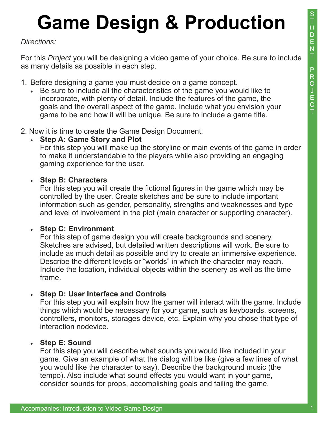## **Game Design & Production**

#### *Directions:*

For this *Project* you will be designing a video game of your choice. Be sure to include as many details as possible in each step.

- 1. Before designing a game you must decide on a game concept.
	- Be sure to include all the characteristics of the game you would like to incorporate, with plenty of detail. Include the features of the game, the goals and the overall aspect of the game. Include what you envision your game to be and how it will be unique. Be sure to include a game title.
- 2. Now it is time to create the Game Design Document.

#### **Step A: Game Story and Plot**

 For this step you will make up the storyline or main events of the game in order to make it understandable to the players while also providing an engaging gaming experience for the user.

#### **Step B: Characters**

 For this step you will create the fictional figures in the game which may be controlled by the user. Create sketches and be sure to include important information such as gender, personality, strengths and weaknesses and type and level of involvement in the plot (main character or supporting character).

#### **Step C: Environment**

 For this step of game design you will create backgrounds and scenery. Sketches are advised, but detailed written descriptions will work. Be sure to include as much detail as possible and try to create an immersive experience. Describe the different levels or "worlds" in which the character may reach. Include the location, individual objects within the scenery as well as the time frame.

#### **Step D: User Interface and Controls**

 For this step you will explain how the gamer will interact with the game. Include things which would be necessary for your game, such as keyboards, screens, controllers, monitors, storages device, etc. Explain why you chose that type of interaction nodevice.

#### **Step E: Sound**

 For this step you will describe what sounds you would like included in your game. Give an example of what the dialog will be like (give a few lines of what you would like the character to say). Describe the background music (the tempo). Also include what sound effects you would want in your game, consider sounds for props, accomplishing goals and failing the game.